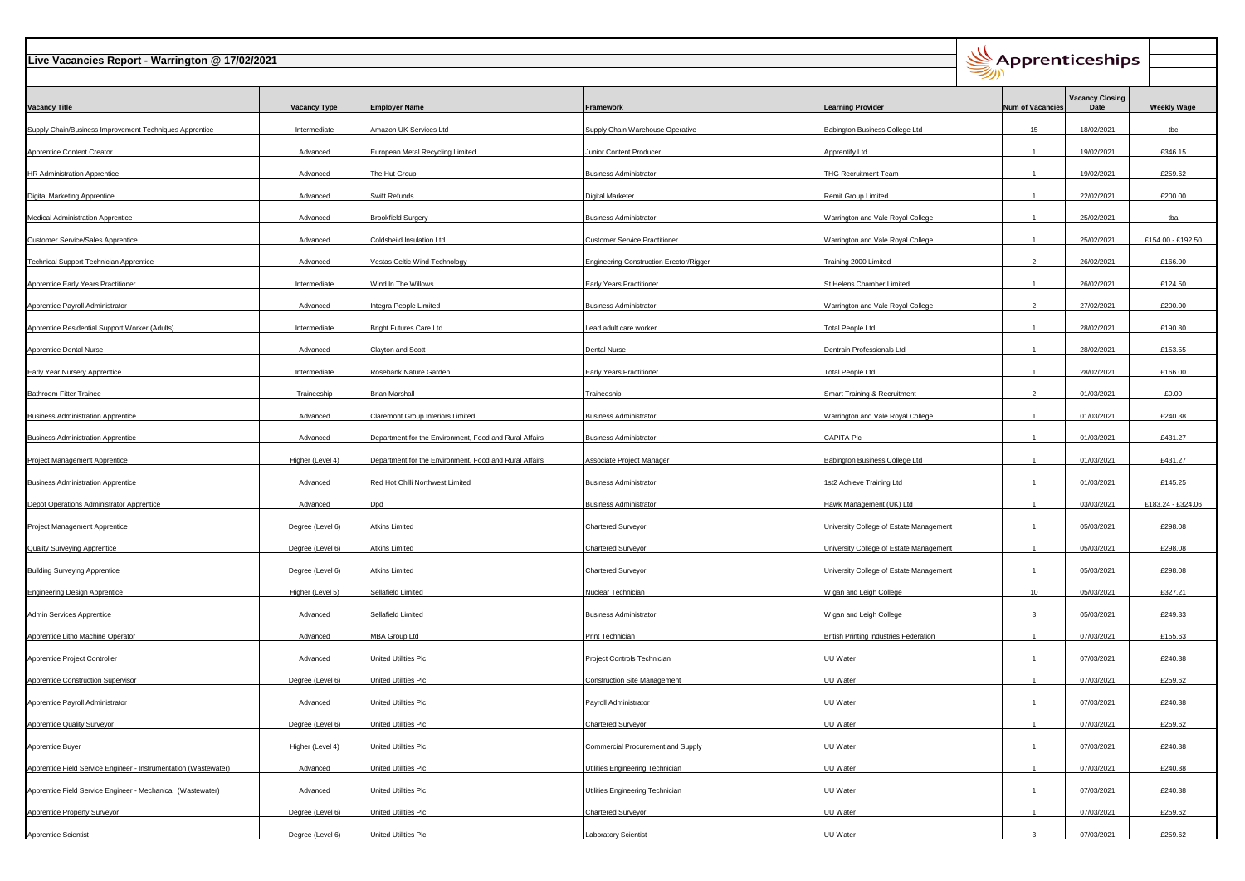| Live Vacancies Report - Warrington @ 17/02/2021                  |                     |                                                        |                                                |                                               |                          | Apprenticeships                |                    |  |
|------------------------------------------------------------------|---------------------|--------------------------------------------------------|------------------------------------------------|-----------------------------------------------|--------------------------|--------------------------------|--------------------|--|
| <b>Vacancy Title</b>                                             | <b>Vacancy Type</b> | <b>Employer Name</b>                                   | Framework                                      | <b>Learning Provider</b>                      | <b>Num of Vacancies</b>  | <b>Vacancy Closing</b><br>Date | <b>Weekly Wage</b> |  |
| Supply Chain/Business Improvement Techniques Apprentice          | Intermediate        | Amazon UK Services Ltd                                 | Supply Chain Warehouse Operative               | Babington Business College Ltd                | 15                       | 18/02/2021                     | tbc                |  |
| <b>Apprentice Content Creator</b>                                | Advanced            | European Metal Recycling Limited                       | Junior Content Producer                        | Apprentify Ltd                                | $\overline{1}$           | 19/02/2021                     | £346.15            |  |
| <b>HR Administration Apprentice</b>                              | Advanced            | The Hut Group                                          | <b>Business Administrator</b>                  | THG Recruitment Team                          |                          | 19/02/2021                     | £259.62            |  |
| <b>Digital Marketing Apprentice</b>                              | Advanced            | Swift Refunds                                          | Digital Marketer                               | Remit Group Limited                           | $\overline{1}$           | 22/02/2021                     | £200.00            |  |
| <b>Medical Administration Apprentice</b>                         | Advanced            | <b>Brookfield Surgery</b>                              | <b>Business Administrator</b>                  | Warrington and Vale Royal College             | $\overline{1}$           | 25/02/2021                     | tba                |  |
| Customer Service/Sales Apprentice                                | Advanced            | Coldsheild Insulation Ltd                              | <b>Customer Service Practitioner</b>           | Warrington and Vale Royal College             | $\overline{1}$           | 25/02/2021                     | £154.00 - £192.50  |  |
| Fechnical Support Technician Apprentice                          | Advanced            | Vestas Celtic Wind Technology                          | <b>Engineering Construction Erector/Rigger</b> | Training 2000 Limited                         | $\overline{2}$           | 26/02/2021                     | £166.00            |  |
| <b>Apprentice Early Years Practitioner</b>                       | Intermediate        | Wind In The Willows                                    | <b>Early Years Practitioner</b>                | St Helens Chamber Limited                     | $\overline{1}$           | 26/02/2021                     | £124.50            |  |
| Apprentice Payroll Administrator                                 | Advanced            | Integra People Limited                                 | <b>Business Administrator</b>                  | Warrington and Vale Royal College             | $\overline{2}$           | 27/02/2021                     | £200.00            |  |
| Apprentice Residential Support Worker (Adults)                   | Intermediate        | <b>Bright Futures Care Ltd</b>                         | ead adult care worker                          | <b>Total People Ltd</b>                       | $\overline{1}$           | 28/02/2021                     | £190.80            |  |
| <b>Apprentice Dental Nurse</b>                                   | Advanced            | Clayton and Scott                                      | Dental Nurse                                   | Dentrain Professionals Ltd                    | $\overline{1}$           | 28/02/2021                     | £153.55            |  |
| Early Year Nursery Apprentice                                    | Intermediate        | Rosebank Nature Garden                                 | <b>Early Years Practitioner</b>                | <b>Total People Ltd</b>                       | $\overline{1}$           | 28/02/2021                     | £166.00            |  |
| <b>Bathroom Fitter Trainee</b>                                   | Traineeship         | <b>Brian Marshall</b>                                  | Traineeship                                    | Smart Training & Recruitment                  | $\overline{\phantom{a}}$ | 01/03/2021                     | £0.00              |  |
| <b>Business Administration Apprentice</b>                        | Advanced            | Claremont Group Interiors Limited                      | <b>Business Administrator</b>                  | Warrington and Vale Royal College             | $\overline{1}$           | 01/03/2021                     | £240.38            |  |
| <b>Business Administration Apprentice</b>                        | Advanced            | Department for the Environment, Food and Rural Affairs | <b>Business Administrator</b>                  | CAPITA Plc                                    | $\overline{1}$           | 01/03/2021                     | £431.27            |  |
| Project Management Apprentice                                    | Higher (Level 4)    | Department for the Environment, Food and Rural Affairs | Associate Project Manager                      | Babington Business College Ltd                | $\overline{1}$           | 01/03/2021                     | £431.27            |  |
| <b>Business Administration Apprentice</b>                        | Advanced            | Red Hot Chilli Northwest Limited                       | <b>Business Administrator</b>                  | 1st2 Achieve Training Ltd                     | $\overline{1}$           | 01/03/2021                     | £145.25            |  |
| Depot Operations Administrator Apprentice                        | Advanced            | Dpd                                                    | <b>Business Administrator</b>                  | Hawk Management (UK) Ltd                      | $\overline{1}$           | 03/03/2021                     | £183.24 - £324.06  |  |
| Project Management Apprentice                                    | Degree (Level 6)    | <b>Atkins Limited</b>                                  | <b>Chartered Surveyor</b>                      | University College of Estate Management       | $\overline{1}$           | 05/03/2021                     | £298.08            |  |
| <b>Quality Surveying Apprentice</b>                              | Degree (Level 6)    | <b>Atkins Limited</b>                                  | <b>Chartered Surveyor</b>                      | University College of Estate Management       | $\overline{1}$           | 05/03/2021                     | £298.08            |  |
| <b>Building Surveying Apprentice</b>                             | Degree (Level 6)    | <b>Atkins Limited</b>                                  | <b>Chartered Surveyor</b>                      | University College of Estate Management       | $\overline{1}$           | 05/03/2021                     | £298.08            |  |
| Engineering Design Apprentice                                    | Higher (Level 5)    | Sellafield Limited                                     | Nuclear Technician                             | Wigan and Leigh College                       | 10                       | 05/03/2021                     | £327.21            |  |
| <b>Admin Services Apprentice</b>                                 | Advanced            | Sellafield Limited                                     | <b>Business Administrator</b>                  | Wigan and Leigh College                       | 3                        | 05/03/2021                     | £249.33            |  |
| Apprentice Litho Machine Operator                                | Advanced            | MBA Group Ltd                                          | Print Technician                               | <b>British Printing Industries Federation</b> | $\overline{1}$           | 07/03/2021                     | £155.63            |  |
| Apprentice Project Controller                                    | Advanced            | United Utilities Plc                                   | Project Controls Technician                    | JU Water                                      | $\overline{1}$           | 07/03/2021                     | £240.38            |  |
| Apprentice Construction Supervisor                               | Degree (Level 6)    | United Utilities Plc                                   | <b>Construction Site Management</b>            | JU Water                                      | $\overline{1}$           | 07/03/2021                     | £259.62            |  |
| Apprentice Payroll Administrator                                 | Advanced            | United Utilities Plc                                   | Payroll Administrator                          | JU Water                                      | $\overline{1}$           | 07/03/2021                     | £240.38            |  |
| <b>Apprentice Quality Surveyor</b>                               | Degree (Level 6)    | United Utilities Plc                                   | <b>Chartered Surveyor</b>                      | JU Water                                      |                          | 07/03/2021                     | £259.62            |  |
| Apprentice Buyer                                                 | Higher (Level 4)    | United Utilities Plc                                   | Commercial Procurement and Supply              | JU Water                                      | $\overline{1}$           | 07/03/2021                     | £240.38            |  |
| Apprentice Field Service Engineer - Instrumentation (Wastewater) | Advanced            | United Utilities Plc                                   | Utilities Engineering Technician               | JU Water                                      |                          | 07/03/2021                     | £240.38            |  |
| Apprentice Field Service Engineer - Mechanical (Wastewater)      | Advanced            | United Utilities Plc                                   | Utilities Engineering Technician               | JU Water                                      |                          | 07/03/2021                     | £240.38            |  |
| Apprentice Property Surveyor                                     | Degree (Level 6)    | United Utilities Plc                                   | Chartered Surveyor                             | JU Water                                      | 1                        | 07/03/2021                     | £259.62            |  |
| Apprentice Scientist                                             | Degree (Level 6)    | United Utilities Plc                                   | Laboratory Scientist                           | UU Water                                      | 3                        | 07/03/2021                     | £259.62            |  |

┯